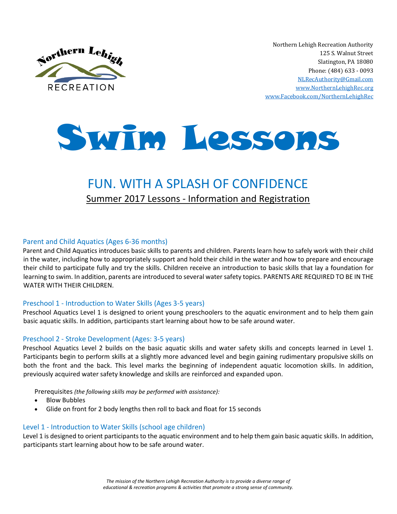

Northern Lehigh Recreation Authority 125 S. Walnut Street Slatington, PA 18080 Phone: (484) 633 - 0093 [NLRecAuthority@Gmail.com](mailto:NLRecAuthority@Gmail.com) [www.NorthernLehighRec.org](http://www.northernlehighrec.org/) [www.Facebook.com/NorthernLehighRec](http://www.facebook.com/NorthernLehighRec)



# FUN. WITH A SPLASH OF CONFIDENCE Summer 2017 Lessons - Information and Registration

#### Parent and Child Aquatics (Ages 6-36 months)

Parent and Child Aquatics introduces basic skills to parents and children. Parents learn how to safely work with their child in the water, including how to appropriately support and hold their child in the water and how to prepare and encourage their child to participate fully and try the skills. Children receive an introduction to basic skills that lay a foundation for learning to swim. In addition, parents are introduced to several water safety topics. PARENTS ARE REQUIRED TO BE IN THE WATER WITH THEIR CHILDREN.

#### Preschool 1 - Introduction to Water Skills (Ages 3-5 years)

Preschool Aquatics Level 1 is designed to orient young preschoolers to the aquatic environment and to help them gain basic aquatic skills. In addition, participants start learning about how to be safe around water.

#### Preschool 2 - Stroke Development (Ages: 3-5 years)

Preschool Aquatics Level 2 builds on the basic aquatic skills and water safety skills and concepts learned in Level 1. Participants begin to perform skills at a slightly more advanced level and begin gaining rudimentary propulsive skills on both the front and the back. This level marks the beginning of independent aquatic locomotion skills. In addition, previously acquired water safety knowledge and skills are reinforced and expanded upon.

Prerequisites *(the following skills may be performed with assistance):*

- Blow Bubbles
- Glide on front for 2 body lengths then roll to back and float for 15 seconds

#### Level 1 - Introduction to Water Skills (school age children)

Level 1 is designed to orient participants to the aquatic environment and to help them gain basic aquatic skills. In addition, participants start learning about how to be safe around water.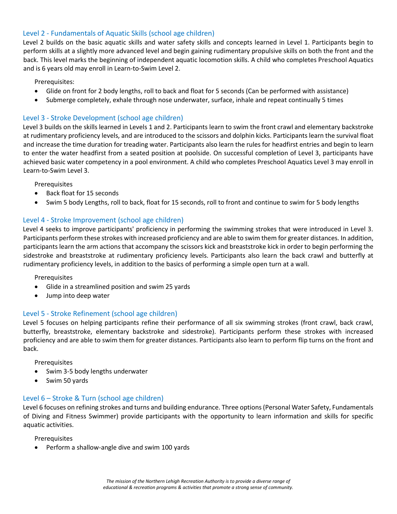#### Level 2 - Fundamentals of Aquatic Skills (school age children)

Level 2 builds on the basic aquatic skills and water safety skills and concepts learned in Level 1. Participants begin to perform skills at a slightly more advanced level and begin gaining rudimentary propulsive skills on both the front and the back. This level marks the beginning of independent aquatic locomotion skills. A child who completes Preschool Aquatics and is 6 years old may enroll in Learn-to-Swim Level 2.

Prerequisites:

- Glide on front for 2 body lengths, roll to back and float for 5 seconds (Can be performed with assistance)
- Submerge completely, exhale through nose underwater, surface, inhale and repeat continually 5 times

#### Level 3 - Stroke Development (school age children)

Level 3 builds on the skills learned in Levels 1 and 2. Participants learn to swim the front crawl and elementary backstroke at rudimentary proficiency levels, and are introduced to the scissors and dolphin kicks. Participants learn the survival float and increase the time duration for treading water. Participants also learn the rules for headfirst entries and begin to learn to enter the water headfirst from a seated position at poolside. On successful completion of Level 3, participants have achieved basic water competency in a pool environment. A child who completes Preschool Aquatics Level 3 may enroll in Learn-to-Swim Level 3.

Prerequisites

- Back float for 15 seconds
- Swim 5 body Lengths, roll to back, float for 15 seconds, roll to front and continue to swim for 5 body lengths

#### Level 4 - Stroke Improvement (school age children)

Level 4 seeks to improve participants' proficiency in performing the swimming strokes that were introduced in Level 3. Participants perform these strokes with increased proficiency and are able to swim them for greater distances. In addition, participants learn the arm actions that accompany the scissors kick and breaststroke kick in order to begin performing the sidestroke and breaststroke at rudimentary proficiency levels. Participants also learn the back crawl and butterfly at rudimentary proficiency levels, in addition to the basics of performing a simple open turn at a wall.

Prerequisites

- Glide in a streamlined position and swim 25 yards
- Jump into deep water

#### Level 5 - Stroke Refinement (school age children)

Level 5 focuses on helping participants refine their performance of all six swimming strokes (front crawl, back crawl, butterfly, breaststroke, elementary backstroke and sidestroke). Participants perform these strokes with increased proficiency and are able to swim them for greater distances. Participants also learn to perform flip turns on the front and back.

Prerequisites

- Swim 3-5 body lengths underwater
- Swim 50 yards

### Level 6 – Stroke & Turn (school age children)

Level 6 focuses on refining strokes and turns and building endurance. Three options (Personal Water Safety, Fundamentals of Diving and Fitness Swimmer) provide participants with the opportunity to learn information and skills for specific aquatic activities.

Prerequisites

• Perform a shallow-angle dive and swim 100 yards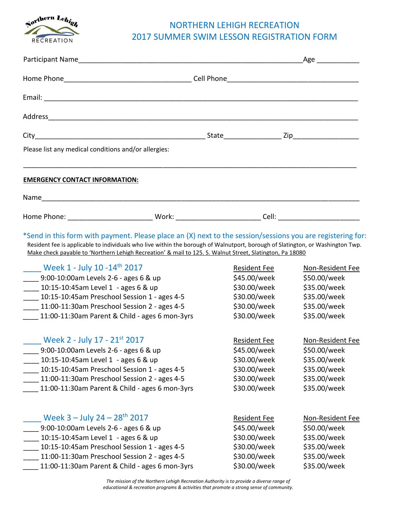

## NORTHERN LEHIGH RECREATION 2017 SUMMER SWIM LESSON REGISTRATION FORM

|                                                                                                                                                                                                                                                                                                                                                                                                                                                                                                                                                                                                                                                                |                                                                                                     | Age _______________                                                                                                                                                     |
|----------------------------------------------------------------------------------------------------------------------------------------------------------------------------------------------------------------------------------------------------------------------------------------------------------------------------------------------------------------------------------------------------------------------------------------------------------------------------------------------------------------------------------------------------------------------------------------------------------------------------------------------------------------|-----------------------------------------------------------------------------------------------------|-------------------------------------------------------------------------------------------------------------------------------------------------------------------------|
|                                                                                                                                                                                                                                                                                                                                                                                                                                                                                                                                                                                                                                                                |                                                                                                     |                                                                                                                                                                         |
|                                                                                                                                                                                                                                                                                                                                                                                                                                                                                                                                                                                                                                                                |                                                                                                     |                                                                                                                                                                         |
|                                                                                                                                                                                                                                                                                                                                                                                                                                                                                                                                                                                                                                                                |                                                                                                     |                                                                                                                                                                         |
|                                                                                                                                                                                                                                                                                                                                                                                                                                                                                                                                                                                                                                                                |                                                                                                     |                                                                                                                                                                         |
| Please list any medical conditions and/or allergies:                                                                                                                                                                                                                                                                                                                                                                                                                                                                                                                                                                                                           |                                                                                                     |                                                                                                                                                                         |
| <b>EMERGENCY CONTACT INFORMATION:</b>                                                                                                                                                                                                                                                                                                                                                                                                                                                                                                                                                                                                                          |                                                                                                     |                                                                                                                                                                         |
|                                                                                                                                                                                                                                                                                                                                                                                                                                                                                                                                                                                                                                                                |                                                                                                     |                                                                                                                                                                         |
| Home Phone: _________________________________Work: _____________________________Cell: ________________________                                                                                                                                                                                                                                                                                                                                                                                                                                                                                                                                                 |                                                                                                     |                                                                                                                                                                         |
| *Send in this form with payment. Please place an (X) next to the session/sessions you are registering for:<br>Resident fee is applicable to individuals who live within the borough of Walnutport, borough of Slatington, or Washington Twp.<br>Make check payable to 'Northern Lehigh Recreation' & mail to 125. S. Walnut Street, Slatington, Pa 18080<br>Week 1 - July 10 -14 <sup>th</sup> 2017<br>____ 9:00-10:00am Levels 2-6 - ages 6 & up<br>____ 10:15-10:45am Level 1 - ages 6 & up<br>____ 10:15-10:45am Preschool Session 1 - ages 4-5<br>____ 11:00-11:30am Preschool Session 2 - ages 4-5<br>____ 11:00-11:30am Parent & Child - ages 6 mon-3yrs | Resident Fee<br>\$45.00/week                                                                        | <b>Non-Resident Fee</b><br>\$50.00/week<br>\$30.00/week<br>\$35.00/week<br>\$30.00/week<br>\$35.00/week<br>\$30.00/week<br>\$35.00/week<br>\$30.00/week<br>\$35.00/week |
| <b>Example 12 - July 17 - 21st 2017</b><br>9:00-10:00am Levels 2-6 - ages 6 & up<br>10:15-10:45am Level 1 - ages 6 & up<br>10:15-10:45am Preschool Session 1 - ages 4-5<br>11:00-11:30am Preschool Session 2 - ages 4-5<br>11:00-11:30am Parent & Child - ages 6 mon-3yrs                                                                                                                                                                                                                                                                                                                                                                                      | \$45.00/week<br>\$30.00/week<br>\$30.00/week<br>\$30.00/week<br>\$30.00/week                        | Resident Fee Non-Resident Fee<br>\$50.00/week<br>\$35.00/week<br>\$35.00/week<br>\$35.00/week<br>\$35.00/week                                                           |
| Week $3 -$ July $24 - 28$ <sup>th</sup> 2017<br>9:00-10:00am Levels 2-6 - ages 6 & up<br>10:15-10:45am Level 1 - ages 6 & up<br>10:15-10:45am Preschool Session 1 - ages 4-5<br>11:00-11:30am Preschool Session 2 - ages 4-5<br>11:00-11:30am Parent & Child - ages 6 mon-3yrs                                                                                                                                                                                                                                                                                                                                                                                 | <b>Resident Fee</b><br>\$45.00/week<br>\$30.00/week<br>\$30.00/week<br>\$30.00/week<br>\$30.00/week | Non-Resident Fee<br>\$50.00/week<br>\$35.00/week<br>\$35.00/week<br>\$35.00/week<br>\$35.00/week                                                                        |

*The mission of the Northern Lehigh Recreation Authority is to provide a diverse range of educational & recreation programs & activities that promote a strong sense of community.*